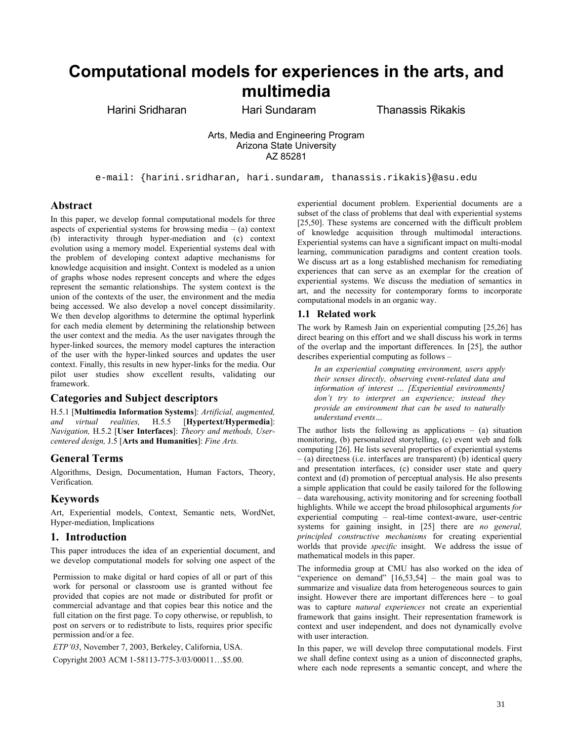# **Computational models for experiences in the arts, and multimedia**

Harini Sridharan Hari Sundaram Thanassis Rikakis

Arts, Media and Engineering Program Arizona State University AZ 85281

e-mail: {harini.sridharan, hari.sundaram, thanassis.rikakis}@asu.edu

# **Abstract**

In this paper, we develop formal computational models for three aspects of experiential systems for browsing media  $-$  (a) context (b) interactivity through hyper-mediation and (c) context evolution using a memory model. Experiential systems deal with the problem of developing context adaptive mechanisms for knowledge acquisition and insight. Context is modeled as a union of graphs whose nodes represent concepts and where the edges represent the semantic relationships. The system context is the union of the contexts of the user, the environment and the media being accessed. We also develop a novel concept dissimilarity. We then develop algorithms to determine the optimal hyperlink for each media element by determining the relationship between the user context and the media. As the user navigates through the hyper-linked sources, the memory model captures the interaction of the user with the hyper-linked sources and updates the user context. Finally, this results in new hyper-links for the media. Our pilot user studies show excellent results, validating our framework.

## **Categories and Subject descriptors**

H.5.1 [**Multimedia Information Systems**]: *Artificial, augmented, and virtual realities,* H.5.5 [**Hypertext/Hypermedia**]: *Navigation,* H.5.2 [**User Interfaces**]: *Theory and methods, Usercentered design,* J.5 [**Arts and Humanities**]: *Fine Arts.*

# **General Terms**

Algorithms, Design, Documentation, Human Factors, Theory, Verification.

# **Keywords**

Art, Experiential models, Context, Semantic nets, WordNet, Hyper-mediation, Implications

## **1. Introduction**

This paper introduces the idea of an experiential document, and we develop computational models for solving one aspect of the

Permission to make digital or hard copies of all or part of this work for personal or classroom use is granted without fee provided that copies are not made or distributed for profit or commercial advantage and that copies bear this notice and the full citation on the first page. To copy otherwise, or republish, to post on servers or to redistribute to lists, requires prior specific permission and/or a fee.

*ETP'03*, November 7, 2003, Berkeley, California, USA.

Copyright 2003 ACM 1-58113-775-3/03/00011…\$5.00.

experiential document problem. Experiential documents are a subset of the class of problems that deal with experiential systems [25,50]. These systems are concerned with the difficult problem of knowledge acquisition through multimodal interactions. Experiential systems can have a significant impact on multi-modal learning, communication paradigms and content creation tools. We discuss art as a long established mechanism for remediating experiences that can serve as an exemplar for the creation of experiential systems. We discuss the mediation of semantics in art, and the necessity for contemporary forms to incorporate computational models in an organic way.

## **1.1 Related work**

The work by Ramesh Jain on experiential computing [25,26] has direct bearing on this effort and we shall discuss his work in terms of the overlap and the important differences. In [25], the author describes experiential computing as follows –

*In an experiential computing environment, users apply their senses directly, observing event-related data and information of interest … [Experiential environments] don't try to interpret an experience; instead they provide an environment that can be used to naturally understand events…* 

The author lists the following as applications  $-$  (a) situation monitoring, (b) personalized storytelling, (c) event web and folk computing [26]. He lists several properties of experiential systems – (a) directness (i.e. interfaces are transparent) (b) identical query and presentation interfaces, (c) consider user state and query context and (d) promotion of perceptual analysis. He also presents a simple application that could be easily tailored for the following – data warehousing, activity monitoring and for screening football highlights. While we accept the broad philosophical arguments *for*  experiential computing – real-time context-aware, user-centric systems for gaining insight, in [25] there are *no general, principled constructive mechanisms* for creating experiential worlds that provide *specific* insight. We address the issue of mathematical models in this paper.

The informedia group at CMU has also worked on the idea of "experience on demand"  $[16,53,54]$  – the main goal was to summarize and visualize data from heterogeneous sources to gain insight. However there are important differences here – to goal was to capture *natural experiences* not create an experiential framework that gains insight. Their representation framework is context and user independent, and does not dynamically evolve with user interaction.

In this paper, we will develop three computational models. First we shall define context using as a union of disconnected graphs, where each node represents a semantic concept, and where the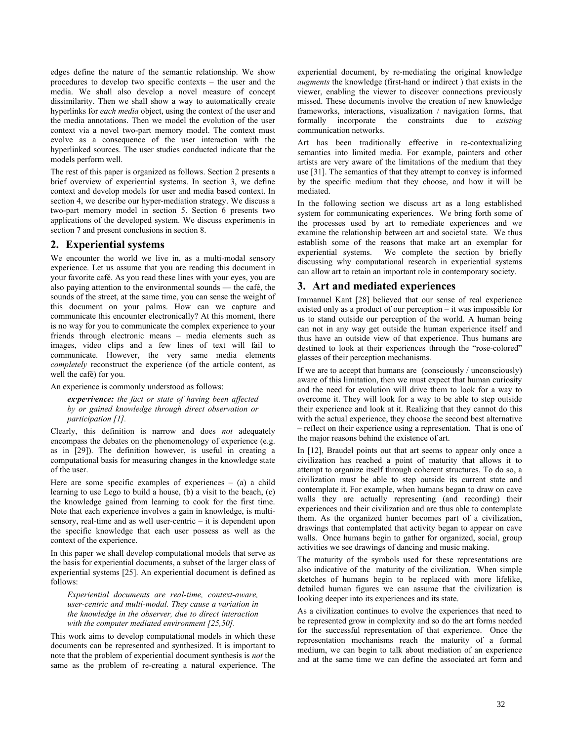edges define the nature of the semantic relationship. We show procedures to develop two specific contexts – the user and the media. We shall also develop a novel measure of concept dissimilarity. Then we shall show a way to automatically create hyperlinks for *each media* object, using the context of the user and the media annotations. Then we model the evolution of the user context via a novel two-part memory model. The context must evolve as a consequence of the user interaction with the hyperlinked sources. The user studies conducted indicate that the models perform well.

The rest of this paper is organized as follows. Section 2 presents a brief overview of experiential systems. In section 3, we define context and develop models for user and media based context. In section 4, we describe our hyper-mediation strategy. We discuss a two-part memory model in section 5. Section 6 presents two applications of the developed system. We discuss experiments in section 7 and present conclusions in section 8.

## **2. Experiential systems**

We encounter the world we live in, as a multi-modal sensory experience. Let us assume that you are reading this document in your favorite café. As you read these lines with your eyes, you are also paying attention to the environmental sounds — the café, the sounds of the street, at the same time, you can sense the weight of this document on your palms. How can we capture and communicate this encounter electronically? At this moment, there is no way for you to communicate the complex experience to your friends through electronic means – media elements such as images, video clips and a few lines of text will fail to communicate. However, the very same media elements *completely* reconstruct the experience (of the article content, as well the café) for you.

An experience is commonly understood as follows:

*ex·pe·ri·ence: the fact or state of having been affected by or gained knowledge through direct observation or participation [1].* 

Clearly, this definition is narrow and does *not* adequately encompass the debates on the phenomenology of experience (e.g. as in [29]). The definition however, is useful in creating a computational basis for measuring changes in the knowledge state of the user.

Here are some specific examples of experiences  $-$  (a) a child learning to use Lego to build a house, (b) a visit to the beach, (c) the knowledge gained from learning to cook for the first time. Note that each experience involves a gain in knowledge, is multisensory, real-time and as well user-centric – it is dependent upon the specific knowledge that each user possess as well as the context of the experience.

In this paper we shall develop computational models that serve as the basis for experiential documents, a subset of the larger class of experiential systems [25]. An experiential document is defined as follows:

*Experiential documents are real-time, context-aware, user-centric and multi-modal. They cause a variation in the knowledge in the observer, due to direct interaction with the computer mediated environment [25,50].* 

This work aims to develop computational models in which these documents can be represented and synthesized. It is important to note that the problem of experiential document synthesis is *not* the same as the problem of re-creating a natural experience. The

experiential document, by re-mediating the original knowledge *augments* the knowledge (first-hand or indirect ) that exists in the viewer, enabling the viewer to discover connections previously missed. These documents involve the creation of new knowledge frameworks, interactions, visualization / navigation forms, that formally incorporate the constraints due to *existing* communication networks.

Art has been traditionally effective in re-contextualizing semantics into limited media. For example, painters and other artists are very aware of the limitations of the medium that they use [31]. The semantics of that they attempt to convey is informed by the specific medium that they choose, and how it will be mediated.

In the following section we discuss art as a long established system for communicating experiences. We bring forth some of the processes used by art to remediate experiences and we examine the relationship between art and societal state. We thus establish some of the reasons that make art an exemplar for experiential systems. We complete the section by briefly discussing why computational research in experiential systems can allow art to retain an important role in contemporary society.

# **3. Art and mediated experiences**

Immanuel Kant [28] believed that our sense of real experience existed only as a product of our perception – it was impossible for us to stand outside our perception of the world. A human being can not in any way get outside the human experience itself and thus have an outside view of that experience. Thus humans are destined to look at their experiences through the "rose-colored" glasses of their perception mechanisms.

If we are to accept that humans are (consciously / unconsciously) aware of this limitation, then we must expect that human curiosity and the need for evolution will drive them to look for a way to overcome it. They will look for a way to be able to step outside their experience and look at it. Realizing that they cannot do this with the actual experience, they choose the second best alternative – reflect on their experience using a representation. That is one of the major reasons behind the existence of art.

In [12], Braudel points out that art seems to appear only once a civilization has reached a point of maturity that allows it to attempt to organize itself through coherent structures. To do so, a civilization must be able to step outside its current state and contemplate it. For example, when humans began to draw on cave walls they are actually representing (and recording) their experiences and their civilization and are thus able to contemplate them. As the organized hunter becomes part of a civilization, drawings that contemplated that activity began to appear on cave walls. Once humans begin to gather for organized, social, group activities we see drawings of dancing and music making.

The maturity of the symbols used for these representations are also indicative of the maturity of the civilization. When simple sketches of humans begin to be replaced with more lifelike, detailed human figures we can assume that the civilization is looking deeper into its experiences and its state.

As a civilization continues to evolve the experiences that need to be represented grow in complexity and so do the art forms needed for the successful representation of that experience. Once the representation mechanisms reach the maturity of a formal medium, we can begin to talk about mediation of an experience and at the same time we can define the associated art form and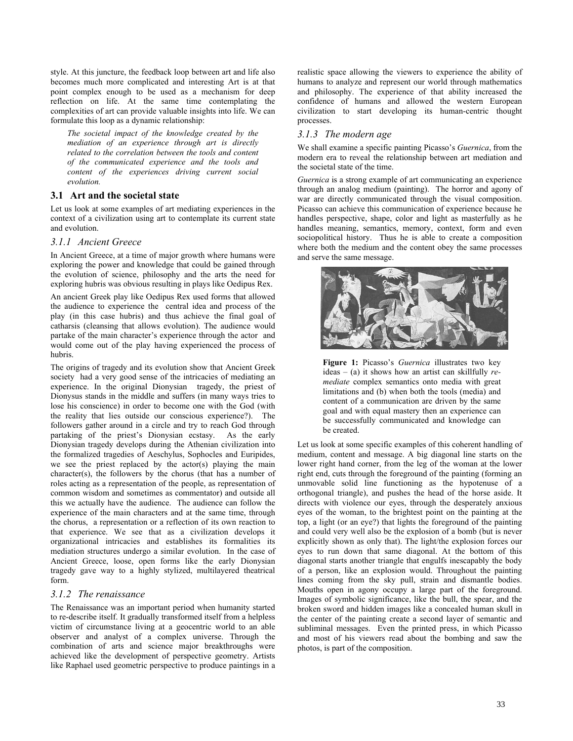style. At this juncture, the feedback loop between art and life also becomes much more complicated and interesting Art is at that point complex enough to be used as a mechanism for deep reflection on life. At the same time contemplating the complexities of art can provide valuable insights into life. We can formulate this loop as a dynamic relationship:

*The societal impact of the knowledge created by the mediation of an experience through art is directly related to the correlation between the tools and content of the communicated experience and the tools and content of the experiences driving current social evolution.* 

# **3.1 Art and the societal state**

Let us look at some examples of art mediating experiences in the context of a civilization using art to contemplate its current state and evolution.

## *3.1.1 Ancient Greece*

In Ancient Greece, at a time of major growth where humans were exploring the power and knowledge that could be gained through the evolution of science, philosophy and the arts the need for exploring hubris was obvious resulting in plays like Oedipus Rex.

An ancient Greek play like Oedipus Rex used forms that allowed the audience to experience the central idea and process of the play (in this case hubris) and thus achieve the final goal of catharsis (cleansing that allows evolution). The audience would partake of the main character's experience through the actor and would come out of the play having experienced the process of hubris.

The origins of tragedy and its evolution show that Ancient Greek society had a very good sense of the intricacies of mediating an experience. In the original Dionysian tragedy, the priest of Dionysus stands in the middle and suffers (in many ways tries to lose his conscience) in order to become one with the God (with the reality that lies outside our conscious experience?). The followers gather around in a circle and try to reach God through partaking of the priest's Dionysian ecstasy. As the early Dionysian tragedy develops during the Athenian civilization into the formalized tragedies of Aeschylus, Sophocles and Euripides, we see the priest replaced by the actor(s) playing the main character(s), the followers by the chorus (that has a number of roles acting as a representation of the people, as representation of common wisdom and sometimes as commentator) and outside all this we actually have the audience. The audience can follow the experience of the main characters and at the same time, through the chorus, a representation or a reflection of its own reaction to that experience. We see that as a civilization develops it organizational intricacies and establishes its formalities its mediation structures undergo a similar evolution. In the case of Ancient Greece, loose, open forms like the early Dionysian tragedy gave way to a highly stylized, multilayered theatrical form.

## *3.1.2 The renaissance*

The Renaissance was an important period when humanity started to re-describe itself. It gradually transformed itself from a helpless victim of circumstance living at a geocentric world to an able observer and analyst of a complex universe. Through the combination of arts and science major breakthroughs were achieved like the development of perspective geometry. Artists like Raphael used geometric perspective to produce paintings in a

realistic space allowing the viewers to experience the ability of humans to analyze and represent our world through mathematics and philosophy. The experience of that ability increased the confidence of humans and allowed the western European civilization to start developing its human-centric thought processes.

# *3.1.3 The modern age*

We shall examine a specific painting Picasso's *Guernica*, from the modern era to reveal the relationship between art mediation and the societal state of the time.

*Guernica* is a strong example of art communicating an experience through an analog medium (painting). The horror and agony of war are directly communicated through the visual composition. Picasso can achieve this communication of experience because he handles perspective, shape, color and light as masterfully as he handles meaning, semantics, memory, context, form and even sociopolitical history. Thus he is able to create a composition where both the medium and the content obey the same processes and serve the same message.



**Figure 1:** Picasso's *Guernica* illustrates two key ideas – (a) it shows how an artist can skillfully *remediate* complex semantics onto media with great limitations and (b) when both the tools (media) and content of a communication are driven by the same goal and with equal mastery then an experience can be successfully communicated and knowledge can be created.

Let us look at some specific examples of this coherent handling of medium, content and message. A big diagonal line starts on the lower right hand corner, from the leg of the woman at the lower right end, cuts through the foreground of the painting (forming an unmovable solid line functioning as the hypotenuse of a orthogonal triangle), and pushes the head of the horse aside. It directs with violence our eyes, through the desperately anxious eyes of the woman, to the brightest point on the painting at the top, a light (or an eye?) that lights the foreground of the painting and could very well also be the explosion of a bomb (but is never explicitly shown as only that). The light/the explosion forces our eyes to run down that same diagonal. At the bottom of this diagonal starts another triangle that engulfs inescapably the body of a person, like an explosion would. Throughout the painting lines coming from the sky pull, strain and dismantle bodies. Mouths open in agony occupy a large part of the foreground. Images of symbolic significance, like the bull, the spear, and the broken sword and hidden images like a concealed human skull in the center of the painting create a second layer of semantic and subliminal messages. Even the printed press, in which Picasso and most of his viewers read about the bombing and saw the photos, is part of the composition.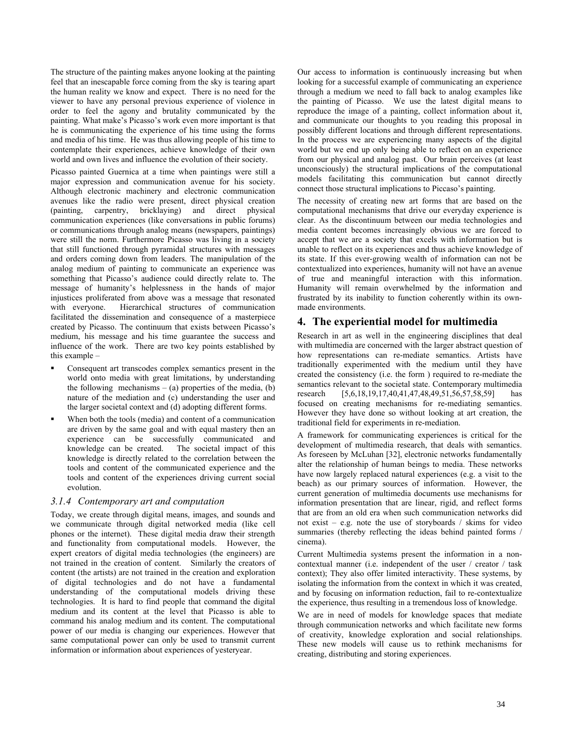The structure of the painting makes anyone looking at the painting feel that an inescapable force coming from the sky is tearing apart the human reality we know and expect. There is no need for the viewer to have any personal previous experience of violence in order to feel the agony and brutality communicated by the painting. What make's Picasso's work even more important is that he is communicating the experience of his time using the forms and media of his time. He was thus allowing people of his time to contemplate their experiences, achieve knowledge of their own world and own lives and influence the evolution of their society.

Picasso painted Guernica at a time when paintings were still a major expression and communication avenue for his society. Although electronic machinery and electronic communication avenues like the radio were present, direct physical creation (painting, carpentry, bricklaying) and direct physical communication experiences (like conversations in public forums) or communications through analog means (newspapers, paintings) were still the norm. Furthermore Picasso was living in a society that still functioned through pyramidal structures with messages and orders coming down from leaders. The manipulation of the analog medium of painting to communicate an experience was something that Picasso's audience could directly relate to. The message of humanity's helplessness in the hands of major injustices proliferated from above was a message that resonated Hierarchical structures of communication facilitated the dissemination and consequence of a masterpiece created by Picasso. The continuum that exists between Picasso's medium, his message and his time guarantee the success and influence of the work. There are two key points established by this example –

- Consequent art transcodes complex semantics present in the world onto media with great limitations, by understanding the following mechanisms – (a) properties of the media, (b) nature of the mediation and (c) understanding the user and the larger societal context and (d) adopting different forms.
- When both the tools (media) and content of a communication are driven by the same goal and with equal mastery then an experience can be successfully communicated and knowledge can be created. The societal impact of this knowledge is directly related to the correlation between the tools and content of the communicated experience and the tools and content of the experiences driving current social evolution.

# *3.1.4 Contemporary art and computation*

Today, we create through digital means, images, and sounds and we communicate through digital networked media (like cell phones or the internet). These digital media draw their strength and functionality from computational models. However, the expert creators of digital media technologies (the engineers) are not trained in the creation of content. Similarly the creators of content (the artists) are not trained in the creation and exploration of digital technologies and do not have a fundamental understanding of the computational models driving these technologies. It is hard to find people that command the digital medium and its content at the level that Picasso is able to command his analog medium and its content. The computational power of our media is changing our experiences. However that same computational power can only be used to transmit current information or information about experiences of yesteryear.

Our access to information is continuously increasing but when looking for a successful example of communicating an experience through a medium we need to fall back to analog examples like the painting of Picasso. We use the latest digital means to reproduce the image of a painting, collect information about it, and communicate our thoughts to you reading this proposal in possibly different locations and through different representations. In the process we are experiencing many aspects of the digital world but we end up only being able to reflect on an experience from our physical and analog past. Our brain perceives (at least unconsciously) the structural implications of the computational models facilitating this communication but cannot directly connect those structural implications to Piccaso's painting.

The necessity of creating new art forms that are based on the computational mechanisms that drive our everyday experience is clear. As the discontinuum between our media technologies and media content becomes increasingly obvious we are forced to accept that we are a society that excels with information but is unable to reflect on its experiences and thus achieve knowledge of its state. If this ever-growing wealth of information can not be contextualized into experiences, humanity will not have an avenue of true and meaningful interaction with this information. Humanity will remain overwhelmed by the information and frustrated by its inability to function coherently within its ownmade environments.

# **4. The experiential model for multimedia**

Research in art as well in the engineering disciplines that deal with multimedia are concerned with the larger abstract question of how representations can re-mediate semantics. Artists have traditionally experimented with the medium until they have created the consistency (i.e. the form ) required to re-mediate the semantics relevant to the societal state. Contemporary multimedia research [5,6,18,19,17,40,41,47,48,49,51,56,57,58,59] has focused on creating mechanisms for re-mediating semantics. However they have done so without looking at art creation, the traditional field for experiments in re-mediation.

A framework for communicating experiences is critical for the development of multimedia research, that deals with semantics. As foreseen by McLuhan [32], electronic networks fundamentally alter the relationship of human beings to media. These networks have now largely replaced natural experiences (e.g. a visit to the beach) as our primary sources of information. However, the current generation of multimedia documents use mechanisms for information presentation that are linear, rigid, and reflect forms that are from an old era when such communication networks did not exist – e.g. note the use of storyboards / skims for video summaries (thereby reflecting the ideas behind painted forms / cinema).

Current Multimedia systems present the information in a noncontextual manner (i.e. independent of the user / creator / task context); They also offer limited interactivity. These systems, by isolating the information from the context in which it was created, and by focusing on information reduction, fail to re-contextualize the experience, thus resulting in a tremendous loss of knowledge.

We are in need of models for knowledge spaces that mediate through communication networks and which facilitate new forms of creativity, knowledge exploration and social relationships. These new models will cause us to rethink mechanisms for creating, distributing and storing experiences.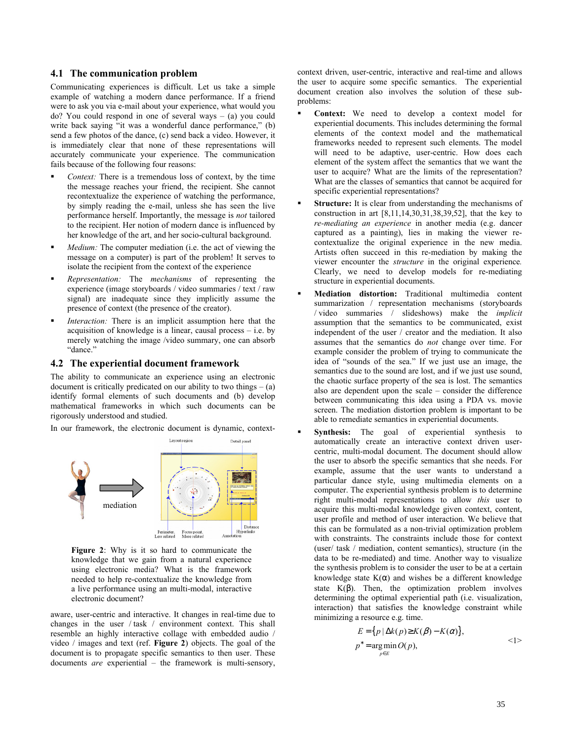#### **4.1 The communication problem**

Communicating experiences is difficult. Let us take a simple example of watching a modern dance performance. If a friend were to ask you via e-mail about your experience, what would you do? You could respond in one of several ways – (a) you could write back saying "it was a wonderful dance performance," (b) send a few photos of the dance, (c) send back a video. However, it is immediately clear that none of these representations will accurately communicate your experience. The communication fails because of the following four reasons:

- *Context:* There is a tremendous loss of context, by the time the message reaches your friend, the recipient. She cannot recontextualize the experience of watching the performance, by simply reading the e-mail, unless she has seen the live performance herself. Importantly, the message is *not* tailored to the recipient. Her notion of modern dance is influenced by her knowledge of the art, and her socio-cultural background.
- *Medium:* The computer mediation (i.e. the act of viewing the message on a computer) is part of the problem! It serves to isolate the recipient from the context of the experience
- *Representation:* The *mechanisms* of representing the experience (image storyboards / video summaries / text / raw signal) are inadequate since they implicitly assume the presence of context (the presence of the creator).
- *Interaction:* There is an implicit assumption here that the acquisition of knowledge is a linear, causal process  $-$  i.e. by merely watching the image /video summary, one can absorb "dance."

#### **4.2 The experiential document framework**

The ability to communicate an experience using an electronic document is critically predicated on our ability to two things  $-$  (a) identify formal elements of such documents and (b) develop mathematical frameworks in which such documents can be rigorously understood and studied.

In our framework, the electronic document is dynamic, context-



**Figure 2**: Why is it so hard to communicate the knowledge that we gain from a natural experience using electronic media? What is the framework needed to help re-contextualize the knowledge from a live performance using an multi-modal, interactive electronic document?

aware, user-centric and interactive. It changes in real-time due to changes in the user / task / environment context. This shall resemble an highly interactive collage with embedded audio / video / images and text (ref. **Figure 2**) objects. The goal of the document is to propagate specific semantics to then user. These documents *are* experiential – the framework is multi-sensory,

context driven, user-centric, interactive and real-time and allows the user to acquire some specific semantics. The experiential document creation also involves the solution of these subproblems:

- **Context:** We need to develop a context model for experiential documents. This includes determining the formal elements of the context model and the mathematical frameworks needed to represent such elements. The model will need to be adaptive, user-centric. How does each element of the system affect the semantics that we want the user to acquire? What are the limits of the representation? What are the classes of semantics that cannot be acquired for specific experiential representations?
- **Structure:** It is clear from understanding the mechanisms of construction in art [8,11,14,30,31,38,39,52], that the key to *re-mediating an experience* in another media (e.g. dancer captured as a painting), lies in making the viewer recontextualize the original experience in the new media. Artists often succeed in this re-mediation by making the viewer encounter the *structure* in the original experience*.* Clearly, we need to develop models for re-mediating structure in experiential documents.
- **Mediation distortion:** Traditional multimedia content summarization / representation mechanisms (storyboards) / video summaries / slideshows) make the *implicit*  assumption that the semantics to be communicated, exist independent of the user / creator and the mediation. It also assumes that the semantics do *not* change over time. For example consider the problem of trying to communicate the idea of "sounds of the sea." If we just use an image, the semantics due to the sound are lost, and if we just use sound, the chaotic surface property of the sea is lost. The semantics also are dependent upon the scale – consider the difference between communicating this idea using a PDA vs. movie screen. The mediation distortion problem is important to be able to remediate semantics in experiential documents.
- **Synthesis:** The goal of experiential synthesis to automatically create an interactive context driven usercentric, multi-modal document. The document should allow the user to absorb the specific semantics that she needs. For example, assume that the user wants to understand a particular dance style, using multimedia elements on a computer. The experiential synthesis problem is to determine right multi-modal representations to allow *this* user to acquire this multi-modal knowledge given context, content, user profile and method of user interaction. We believe that this can be formulated as a non-trivial optimization problem with constraints. The constraints include those for context (user/ task / mediation, content semantics), structure (in the data to be re-mediated) and time. Another way to visualize the synthesis problem is to consider the user to be at a certain knowledge state  $K(\alpha)$  and wishes be a different knowledge state  $K(\beta)$ . Then, the optimization problem involves determining the optimal experiential path (i.e. visualization, interaction) that satisfies the knowledge constraint while minimizing a resource e.g. time.

$$
E = \{ p \mid \Delta k(p) \ge K(\beta) - K(\alpha) \},
$$
  
\n
$$
p^* = \underset{p \in E}{\text{arg min }} O(p),
$$
  
\n
$$
\langle 1 \rangle
$$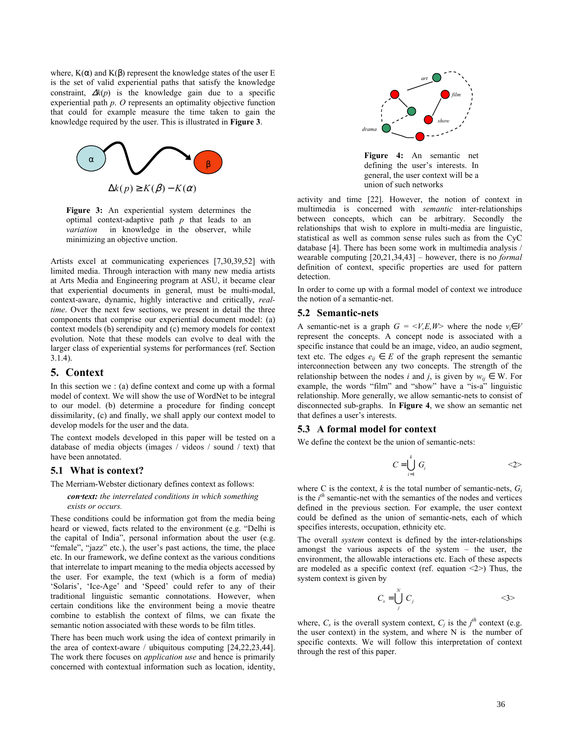where,  $K(\alpha)$  and  $K(\beta)$  represent the knowledge states of the user E is the set of valid experiential paths that satisfy the knowledge constraint,  $\Delta k(p)$  is the knowledge gain due to a specific experiential path *p*. *O* represents an optimality objective function that could for example measure the time taken to gain the knowledge required by the user. This is illustrated in **Figure 3**.



**Figure 3:** An experiential system determines the optimal context-adaptive path *p* that leads to an *variation* in knowledge in the observer, while minimizing an objective unction.

Artists excel at communicating experiences [7,30,39,52] with limited media. Through interaction with many new media artists at Arts Media and Engineering program at ASU, it became clear that experiential documents in general, must be multi-modal, context-aware, dynamic, highly interactive and critically, *realtime*. Over the next few sections, we present in detail the three components that comprise our experiential document model: (a) context models (b) serendipity and (c) memory models for context evolution. Note that these models can evolve to deal with the larger class of experiential systems for performances (ref. Section 3.1.4).

## **5. Context**

In this section we : (a) define context and come up with a formal model of context. We will show the use of WordNet to be integral to our model. (b) determine a procedure for finding concept dissimilarity, (c) and finally, we shall apply our context model to develop models for the user and the data.

The context models developed in this paper will be tested on a database of media objects (images / videos / sound / text) that have been annotated.

#### **5.1 What is context?**

The Merriam-Webster dictionary defines context as follows:

*con·text: the interrelated conditions in which something exists or occurs.* 

These conditions could be information got from the media being heard or viewed, facts related to the environment (e.g. "Delhi is the capital of India", personal information about the user (e.g. "female", "jazz" etc.), the user's past actions, the time, the place etc. In our framework, we define context as the various conditions that interrelate to impart meaning to the media objects accessed by the user. For example, the text (which is a form of media) 'Solaris', 'Ice-Age' and 'Speed' could refer to any of their traditional linguistic semantic connotations. However, when certain conditions like the environment being a movie theatre combine to establish the context of films, we can fixate the semantic notion associated with these words to be film titles.

There has been much work using the idea of context primarily in the area of context-aware / ubiquitous computing [24,22,23,44]. The work there focuses on *application use* and hence is primarily concerned with contextual information such as location, identity,



**Figure 4:** An semantic net defining the user's interests. In general, the user context will be a union of such networks

activity and time [22]. However, the notion of context in multimedia is concerned with *semantic* inter-relationships between concepts, which can be arbitrary. Secondly the relationships that wish to explore in multi-media are linguistic, statistical as well as common sense rules such as from the CyC database [4]. There has been some work in multimedia analysis / wearable computing [20,21,34,43] – however, there is no *formal* definition of context, specific properties are used for pattern detection.

In order to come up with a formal model of context we introduce the notion of a semantic-net.

#### **5.2 Semantic-nets**

A semantic-net is a graph  $G = \langle V, E, W \rangle$  where the node  $v_i \in V$ represent the concepts. A concept node is associated with a specific instance that could be an image, video, an audio segment, text etc. The edges  $e_{ij} \in E$  of the graph represent the semantic interconnection between any two concepts. The strength of the relationship between the nodes *i* and *j*, is given by  $w_{ij} \in W$ . For example, the words "film" and "show" have a "is-a" linguistic relationship. More generally, we allow semantic-nets to consist of disconnected sub-graphs. In **Figure 4**, we show an semantic net that defines a user's interests.

#### **5.3 A formal model for context**

We define the context be the union of semantic-nets:

$$
C = \bigcup_{i=1}^{k} G_i
$$
  $\langle 2 \rangle$ 

where C is the context,  $k$  is the total number of semantic-nets,  $G_i$ is the  $i<sup>th</sup>$  semantic-net with the semantics of the nodes and vertices defined in the previous section. For example, the user context could be defined as the union of semantic-nets, each of which specifies interests, occupation, ethnicity etc.

The overall *system* context is defined by the inter-relationships amongst the various aspects of the system – the user, the environment, the allowable interactions etc. Each of these aspects are modeled as a specific context (ref. equation  $\langle 2 \rangle$ ) Thus, the system context is given by

$$
C_s = \bigcup_j^N C_j
$$
  $\langle 3 \rangle$ 

where,  $C_s$  is the overall system context,  $C_j$  is the  $j<sup>th</sup>$  context (e.g. the user context) in the system, and where N is the number of specific contexts. We will follow this interpretation of context through the rest of this paper.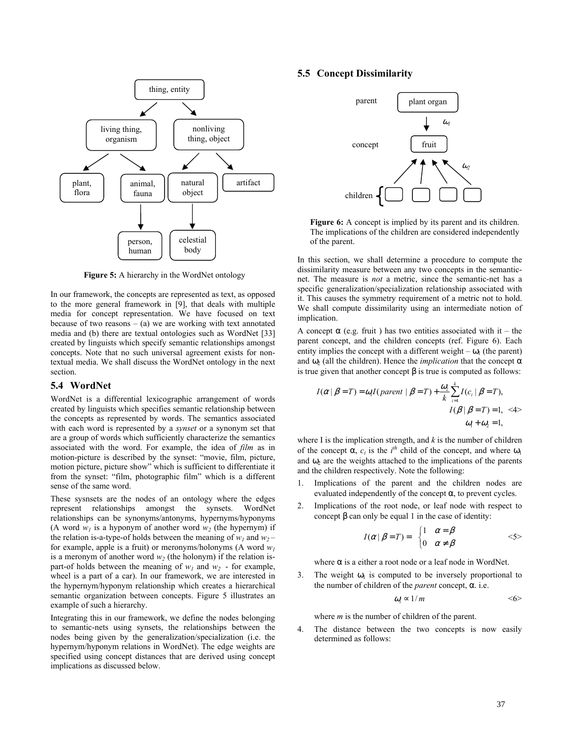

Figure 5: A hierarchy in the WordNet ontology

In our framework, the concepts are represented as text, as opposed to the more general framework in [9], that deals with multiple media for concept representation. We have focused on text because of two reasons  $-$  (a) we are working with text annotated media and (b) there are textual ontologies such as WordNet [33] created by linguists which specify semantic relationships amongst concepts. Note that no such universal agreement exists for nontextual media. We shall discuss the WordNet ontology in the next section.

#### **5.4 WordNet**

WordNet is a differential lexicographic arrangement of words created by linguists which specifies semantic relationship between the concepts as represented by words. The semantics associated with each word is represented by a *synset* or a synonym set that are a group of words which sufficiently characterize the semantics associated with the word. For example, the idea of *film* as in motion-picture is described by the synset: "movie, film, picture, motion picture, picture show" which is sufficient to differentiate it from the synset: "film, photographic film" which is a different sense of the same word.

These sysnsets are the nodes of an ontology where the edges represent relationships amongst the synsets. WordNet relationships can be synonyms/antonyms, hypernyms/hyponyms (A word  $w_1$  is a hyponym of another word  $w_2$  (the hypernym) if the relation is-a-type-of holds between the meaning of  $w_1$  and  $w_2$  – for example, apple is a fruit) or meronyms/holonyms (A word *w1* is a meronym of another word  $w_2$  (the holonym) if the relation ispart-of holds between the meaning of  $w_1$  and  $w_2$  - for example, wheel is a part of a car). In our framework, we are interested in the hypernym/hyponym relationship which creates a hierarchical semantic organization between concepts. Figure 5 illustrates an example of such a hierarchy.

Integrating this in our framework, we define the nodes belonging to semantic-nets using synsets, the relationships between the nodes being given by the generalization/specialization (i.e. the hypernym/hyponym relations in WordNet). The edge weights are specified using concept distances that are derived using concept implications as discussed below.

## **5.5 Concept Dissimilarity**



Figure 6: A concept is implied by its parent and its children. The implications of the children are considered independently of the parent.

In this section, we shall determine a procedure to compute the dissimilarity measure between any two concepts in the semanticnet. The measure is *not* a metric, since the semantic-net has a specific generalization/specialization relationship associated with it. This causes the symmetry requirement of a metric not to hold. We shall compute dissimilarity using an intermediate notion of implication.

A concept  $\alpha$  (e.g. fruit) has two entities associated with it – the parent concept, and the children concepts (ref. Figure 6). Each entity implies the concept with a different weight –  $\omega_1$  (the parent) and  $\omega_2$  (all the children). Hence the *implication* that the concept  $\alpha$ is true given that another concept β is true is computed as follows:

$$
I(\alpha \mid \beta = T) = \omega_1 I(\text{parent} \mid \beta = T) + \frac{\omega_2}{k} \sum_{i=1}^{k} I(c_i \mid \beta = T),
$$
  

$$
I(\beta \mid \beta = T) = 1, \langle 4 \rangle
$$
  

$$
\omega_1 + \omega_2 = 1,
$$

where I is the implication strength, and *k* is the number of children of the concept  $\alpha$ ,  $c_i$  is the *i*<sup>th</sup> child of the concept, and where  $\omega_1$ and  $\omega_2$  are the weights attached to the implications of the parents and the children respectively. Note the following:

- 1. Implications of the parent and the children nodes are evaluated independently of the concept  $\alpha$ , to prevent cycles.
- 2. Implications of the root node, or leaf node with respect to concept β can only be equal 1 in the case of identity:

$$
I(\alpha \mid \beta = T) = \begin{cases} 1 & \alpha = \beta \\ 0 & \alpha \neq \beta \end{cases} \qquad \qquad \leq 5>
$$

where  $\alpha$  is a either a root node or a leaf node in WordNet.

3. The weight  $\omega_1$  is computed to be inversely proportional to the number of children of the *parent* concept, α. i.e.

$$
\omega_{\rm l} \propto 1/m \qquad \qquad <6>
$$

where *m* is the number of children of the parent.

4. The distance between the two concepts is now easily determined as follows: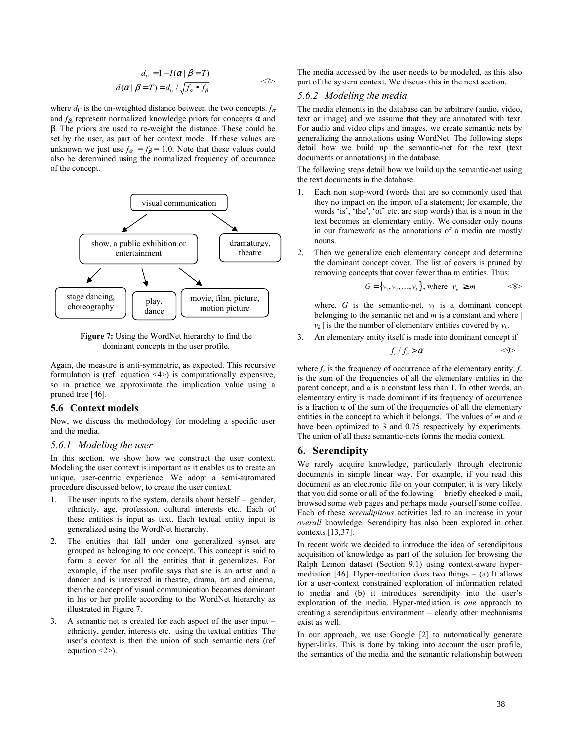$$
d_U = 1 - I(\alpha \mid \beta = T)
$$
  

$$
d(\alpha \mid \beta = T) = d_U / \sqrt{f_\alpha \bullet f_\beta}
$$
  $\langle 7 \rangle$ 

where  $d_U$  is the un-weighted distance between the two concepts.  $f_\alpha$ and  $f_{\beta}$ , represent normalized knowledge priors for concepts  $\alpha$  and β. The priors are used to re-weight the distance. These could be set by the user, as part of her context model. If these values are unknown we just use  $f_\alpha = f_\beta = 1.0$ . Note that these values could also be determined using the normalized frequency of occurance of the concept.



**Figure 7:** Using the WordNet hierarchy to find the dominant concepts in the user profile.

Again, the measure is anti-symmetric, as expected. This recursive formulation is (ref. equation  $\langle 4 \rangle$ ) is computationally expensive, so in practice we approximate the implication value using a pruned tree [46].

#### **5.6 Context models**

Now, we discuss the methodology for modeling a specific user and the media.

#### *5.6.1 Modeling the user*

In this section, we show how we construct the user context. Modeling the user context is important as it enables us to create an unique, user-centric experience. We adopt a semi-automated procedure discussed below, to create the user context.

- 1. The user inputs to the system, details about herself gender, ethnicity, age, profession, cultural interests etc.. Each of these entities is input as text. Each textual entity input is generalized using the WordNet hierarchy.
- 2. The entities that fall under one generalized synset are grouped as belonging to one concept. This concept is said to form a cover for all the entities that it generalizes. For example, if the user profile says that she is an artist and a dancer and is interested in theatre, drama, art and cinema, then the concept of visual communication becomes dominant in his or her profile according to the WordNet hierarchy as illustrated in Figure 7.
- 3. A semantic net is created for each aspect of the user input ethnicity, gender, interests etc. using the textual entities The user's context is then the union of such semantic nets (ref equation <2>).

The media accessed by the user needs to be modeled, as this also part of the system context. We discuss this in the next section.

## *5.6.2 Modeling the media*

The media elements in the database can be arbitrary (audio, video, text or image) and we assume that they are annotated with text. For audio and video clips and images, we create semantic nets by generalizing the annotations using WordNet. The following steps detail how we build up the semantic-net for the text (text documents or annotations) in the database.

The following steps detail how we build up the semantic-net using the text documents in the database.

- 1. Each non stop-word (words that are so commonly used that they no impact on the import of a statement; for example, the words 'is', 'the', 'of' etc. are stop words) that is a noun in the text becomes an elementary entity. We consider only nouns in our framework as the annotations of a media are mostly nouns.
- 2. Then we generalize each elementary concept and determine the dominant concept cover. The list of covers is pruned by removing concepts that cover fewer than m entities. Thus:

$$
G = \{v_1, v_2, \dots, v_k\}, \text{ where } |v_k| \ge m \qquad \text{<8>}
$$

where,  $G$  is the semantic-net,  $v_k$  is a dominant concept belonging to the semantic net and *m* is a constant and where |  $v_k$  | is the the number of elementary entities covered by  $v_k$ .

3. An elementary entity itself is made into dominant concept if  $f_e / f_c > \alpha$  <9>

where  $f_e$  is the frequency of occurrence of the elementary entity,  $f_c$ is the sum of the frequencies of all the elementary entities in the parent concept, and  $\alpha$  is a constant less than 1. In other words, an elementary entity is made dominant if its frequency of occurrence is a fraction α of the sum of the frequencies of all the elementary entities in the concept to which it belongs. The values of *m* and *α* have been optimized to 3 and 0.75 respectively by experiments. The union of all these semantic-nets forms the media context.

# **6. Serendipity**

We rarely acquire knowledge, particularly through electronic documents in simple linear way. For example, if you read this document as an electronic file on your computer, it is very likely that you did some or all of the following – briefly checked e-mail, browsed some web pages and perhaps made yourself some coffee. Each of these *serendipitous* activities led to an increase in your *overall* knowledge. Serendipity has also been explored in other contexts [13,37].

In recent work we decided to introduce the idea of serendipitous acquisition of knowledge as part of the solution for browsing the Ralph Lemon dataset (Section 9.1) using context-aware hypermediation [46]. Hyper-mediation does two things  $-$  (a) It allows for a user-context constrained exploration of information related to media and (b) it introduces serendipity into the user's exploration of the media. Hyper-mediation is *one* approach to creating a serendipitous environment – clearly other mechanisms exist as well.

In our approach, we use Google [2] to automatically generate hyper-links. This is done by taking into account the user profile, the semantics of the media and the semantic relationship between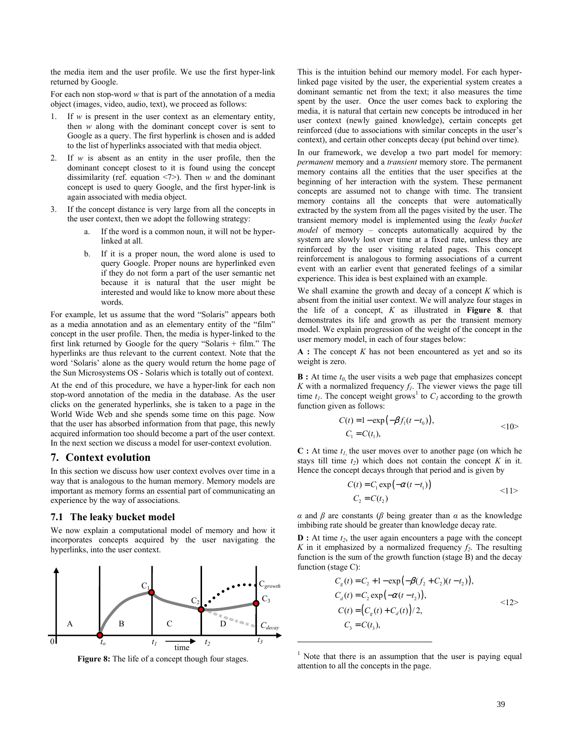the media item and the user profile. We use the first hyper-link returned by Google.

For each non stop-word *w* that is part of the annotation of a media object (images, video, audio, text), we proceed as follows:

- 1. If *w* is present in the user context as an elementary entity, then  $w$  along with the dominant concept cover is sent to Google as a query. The first hyperlink is chosen and is added to the list of hyperlinks associated with that media object.
- 2. If *w* is absent as an entity in the user profile, then the dominant concept closest to it is found using the concept dissimilarity (ref. equation <7>). Then *w* and the dominant concept is used to query Google, and the first hyper-link is again associated with media object.
- 3. If the concept distance is very large from all the concepts in the user context, then we adopt the following strategy:
	- a. If the word is a common noun, it will not be hyperlinked at all.
	- b. If it is a proper noun, the word alone is used to query Google. Proper nouns are hyperlinked even if they do not form a part of the user semantic net because it is natural that the user might be interested and would like to know more about these words.

For example, let us assume that the word "Solaris" appears both as a media annotation and as an elementary entity of the "film" concept in the user profile. Then, the media is hyper-linked to the first link returned by Google for the query "Solaris + film." The hyperlinks are thus relevant to the current context. Note that the word 'Solaris' alone as the query would return the home page of the Sun Microsystems OS - Solaris which is totally out of context.

At the end of this procedure, we have a hyper-link for each non stop-word annotation of the media in the database. As the user clicks on the generated hyperlinks, she is taken to a page in the World Wide Web and she spends some time on this page. Now that the user has absorbed information from that page, this newly acquired information too should become a part of the user context. In the next section we discuss a model for user-context evolution.

## **7. Context evolution**

In this section we discuss how user context evolves over time in a way that is analogous to the human memory. Memory models are important as memory forms an essential part of communicating an experience by the way of associations.

## **7.1 The leaky bucket model**

We now explain a computational model of memory and how it incorporates concepts acquired by the user navigating the hyperlinks, into the user context.



**Figure 8:** The life of a concept though four stages.

This is the intuition behind our memory model. For each hyperlinked page visited by the user, the experiential system creates a dominant semantic net from the text; it also measures the time spent by the user. Once the user comes back to exploring the media, it is natural that certain new concepts be introduced in her user context (newly gained knowledge), certain concepts get reinforced (due to associations with similar concepts in the user's context), and certain other concepts decay (put behind over time).

In our framework, we develop a two part model for memory: *permanent* memory and a *transient* memory store. The permanent memory contains all the entities that the user specifies at the beginning of her interaction with the system. These permanent concepts are assumed not to change with time. The transient memory contains all the concepts that were automatically extracted by the system from all the pages visited by the user. The transient memory model is implemented using the *leaky bucket model* of memory – concepts automatically acquired by the system are slowly lost over time at a fixed rate, unless they are reinforced by the user visiting related pages. This concept reinforcement is analogous to forming associations of a current event with an earlier event that generated feelings of a similar experience. This idea is best explained with an example.

We shall examine the growth and decay of a concept *K* which is absent from the initial user context. We will analyze four stages in the life of a concept, *K* as illustrated in **Figure 8**. that demonstrates its life and growth as per the transient memory model. We explain progression of the weight of the concept in the user memory model, in each of four stages below:

**A :** The concept *K* has not been encountered as yet and so its weight is zero.

 $\mathbf{B}$  : At time  $t_0$  the user visits a web page that emphasizes concept *K* with a normalized frequency  $f_l$ . The viewer views the page till time  $t_1$ . The concept weight grows<sup>1</sup> to  $C_1$  according to the growth function given as follows:

$$
C(t) = 1 - \exp(-\beta f_1(t - t_0)),
$$
  
\n
$$
C_1 = C(t_1),
$$

 $C$ : At time  $t_1$  the user moves over to another page (on which he stays till time  $t_2$ ) which does not contain the concept  $K$  in it. Hence the concept decays through that period and is given by

$$
C(t) = C_1 \exp(-\alpha(t - t_1))
$$
  
\n
$$
C_2 = C(t_2)
$$
  $\langle 1 \rangle$ 

*α* and *β* are constants (*β* being greater than *α* as the knowledge imbibing rate should be greater than knowledge decay rate.

 $\mathbf{D}$ : At time  $t_2$ , the user again encounters a page with the concept *K* in it emphasized by a normalized frequency  $f_2$ . The resulting function is the sum of the growth function (stage B) and the decay function (stage C):

$$
C_g(t) = C_2 + 1 - \exp(-\beta(f_2 + C_2)(t - t_2)),
$$
  
\n
$$
C_d(t) = C_2 \exp(-\alpha(t - t_2)),
$$
  
\n
$$
C(t) = (C_g(t) + C_d(t))/2,
$$
  
\n
$$
C_3 = C(t_3),
$$
\n(12)

1

<sup>&</sup>lt;sup>1</sup> Note that there is an assumption that the user is paying equal attention to all the concepts in the page.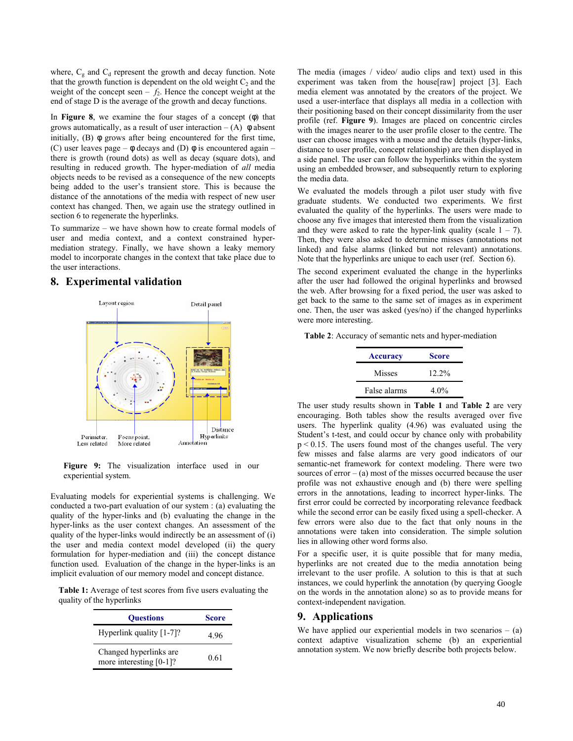where,  $C_g$  and  $C_d$  represent the growth and decay function. Note that the growth function is dependent on the old weight  $C_2$  and the weight of the concept seen –  $f_2$ . Hence the concept weight at the end of stage D is the average of the growth and decay functions.

In **Figure 8**, we examine the four stages of a concept (φ) that grows automatically, as a result of user interaction –  $(A)$   $\phi$  absent initially,  $(B)$   $\phi$  grows after being encountered for the first time, (C) user leaves page –  $\phi$  decays and (D)  $\phi$  is encountered again – there is growth (round dots) as well as decay (square dots), and resulting in reduced growth. The hyper-mediation of *all* media objects needs to be revised as a consequence of the new concepts being added to the user's transient store. This is because the distance of the annotations of the media with respect of new user context has changed. Then, we again use the strategy outlined in section 6 to regenerate the hyperlinks.

To summarize – we have shown how to create formal models of user and media context, and a context constrained hypermediation strategy. Finally, we have shown a leaky memory model to incorporate changes in the context that take place due to the user interactions.

# **8. Experimental validation**



**Figure 9:** The visualization interface used in our experiential system.

Evaluating models for experiential systems is challenging. We conducted a two-part evaluation of our system : (a) evaluating the quality of the hyper-links and (b) evaluating the change in the hyper-links as the user context changes. An assessment of the quality of the hyper-links would indirectly be an assessment of (i) the user and media context model developed (ii) the query formulation for hyper-mediation and (iii) the concept distance function used. Evaluation of the change in the hyper-links is an implicit evaluation of our memory model and concept distance.

**Table 1:** Average of test scores from five users evaluating the quality of the hyperlinks

| <b>Questions</b>                                     | Score |
|------------------------------------------------------|-------|
| Hyperlink quality $[1-7]$ ?                          | 496   |
| Changed hyperlinks are<br>more interesting $[0-1]$ ? | 0.61  |

The media (images / video/ audio clips and text) used in this experiment was taken from the house[raw] project [3]. Each media element was annotated by the creators of the project. We used a user-interface that displays all media in a collection with their positioning based on their concept dissimilarity from the user profile (ref. **Figure 9**). Images are placed on concentric circles with the images nearer to the user profile closer to the centre. The user can choose images with a mouse and the details (hyper-links, distance to user profile, concept relationship) are then displayed in a side panel. The user can follow the hyperlinks within the system using an embedded browser, and subsequently return to exploring the media data.

We evaluated the models through a pilot user study with five graduate students. We conducted two experiments. We first evaluated the quality of the hyperlinks. The users were made to choose any five images that interested them from the visualization and they were asked to rate the hyper-link quality (scale  $1 - 7$ ). Then, they were also asked to determine misses (annotations not linked) and false alarms (linked but not relevant) annotations. Note that the hyperlinks are unique to each user (ref. Section 6).

The second experiment evaluated the change in the hyperlinks after the user had followed the original hyperlinks and browsed the web. After browsing for a fixed period, the user was asked to get back to the same to the same set of images as in experiment one. Then, the user was asked (yes/no) if the changed hyperlinks were more interesting.

|  |  | Table 2: Accuracy of semantic nets and hyper-mediation |
|--|--|--------------------------------------------------------|
|--|--|--------------------------------------------------------|

| <b>Accuracy</b> | <b>Score</b> |
|-----------------|--------------|
| <b>Misses</b>   | $12.2\%$     |
| False alarms    | $4.0\%$      |

The user study results shown in **Table 1** and **Table 2** are very encouraging. Both tables show the results averaged over five users. The hyperlink quality (4.96) was evaluated using the Student's t-test, and could occur by chance only with probability  $p < 0.15$ . The users found most of the changes useful. The very few misses and false alarms are very good indicators of our semantic-net framework for context modeling. There were two sources of  $error - (a)$  most of the misses occurred because the user profile was not exhaustive enough and (b) there were spelling errors in the annotations, leading to incorrect hyper-links. The first error could be corrected by incorporating relevance feedback while the second error can be easily fixed using a spell-checker. A few errors were also due to the fact that only nouns in the annotations were taken into consideration. The simple solution lies in allowing other word forms also.

For a specific user, it is quite possible that for many media, hyperlinks are not created due to the media annotation being irrelevant to the user profile. A solution to this is that at such instances, we could hyperlink the annotation (by querying Google on the words in the annotation alone) so as to provide means for context-independent navigation.

# **9. Applications**

We have applied our experiential models in two scenarios  $-$  (a) context adaptive visualization scheme (b) an experiential annotation system. We now briefly describe both projects below.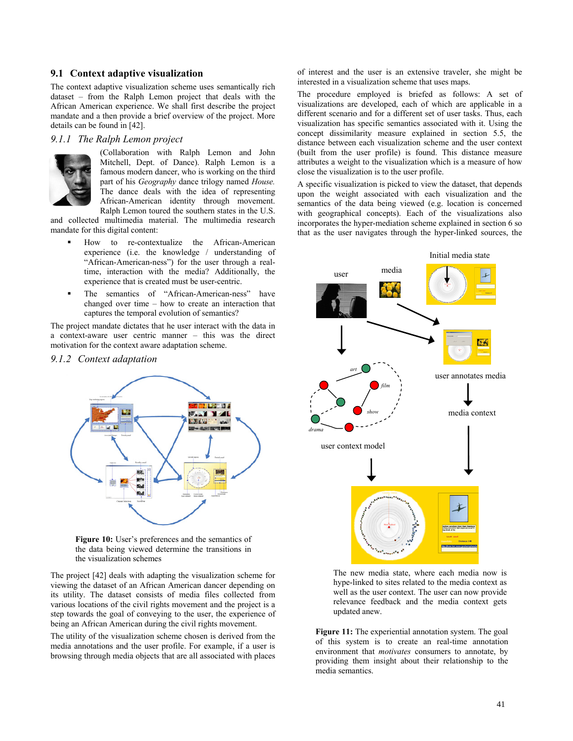## **9.1 Context adaptive visualization**

The context adaptive visualization scheme uses semantically rich dataset – from the Ralph Lemon project that deals with the African American experience. We shall first describe the project mandate and a then provide a brief overview of the project. More details can be found in [42].

## *9.1.1 The Ralph Lemon project*



(Collaboration with Ralph Lemon and John Mitchell, Dept. of Dance). Ralph Lemon is a famous modern dancer, who is working on the third part of his *Geography* dance trilogy named *House.*  The dance deals with the idea of representing African-American identity through movement. Ralph Lemon toured the southern states in the U.S.

and collected multimedia material. The multimedia research mandate for this digital content:

- How to re-contextualize the African-American experience (i.e. the knowledge / understanding of "African-American-ness") for the user through a realtime, interaction with the media? Additionally, the experience that is created must be user-centric.
- The semantics of "African-American-ness" have changed over time – how to create an interaction that captures the temporal evolution of semantics?

The project mandate dictates that he user interact with the data in a context-aware user centric manner – this was the direct motivation for the context aware adaptation scheme.

#### *9.1.2 Context adaptation*



**Figure 10:** User's preferences and the semantics of the data being viewed determine the transitions in the visualization schemes

The project [42] deals with adapting the visualization scheme for viewing the dataset of an African American dancer depending on its utility. The dataset consists of media files collected from various locations of the civil rights movement and the project is a step towards the goal of conveying to the user, the experience of being an African American during the civil rights movement.

The utility of the visualization scheme chosen is derived from the media annotations and the user profile. For example, if a user is browsing through media objects that are all associated with places

of interest and the user is an extensive traveler, she might be interested in a visualization scheme that uses maps.

The procedure employed is briefed as follows: A set of visualizations are developed, each of which are applicable in a different scenario and for a different set of user tasks. Thus, each visualization has specific semantics associated with it. Using the concept dissimilarity measure explained in section 5.5, the distance between each visualization scheme and the user context (built from the user profile) is found. This distance measure attributes a weight to the visualization which is a measure of how close the visualization is to the user profile.

A specific visualization is picked to view the dataset, that depends upon the weight associated with each visualization and the semantics of the data being viewed (e.g. location is concerned with geographical concepts). Each of the visualizations also incorporates the hyper-mediation scheme explained in section 6 so that as the user navigates through the hyper-linked sources, the



The new media state, where each media now is hype-linked to sites related to the media context as well as the user context. The user can now provide relevance feedback and the media context gets updated anew.

**Figure 11:** The experiential annotation system. The goal of this system is to create an real-time annotation environment that *motivates* consumers to annotate, by providing them insight about their relationship to the media semantics.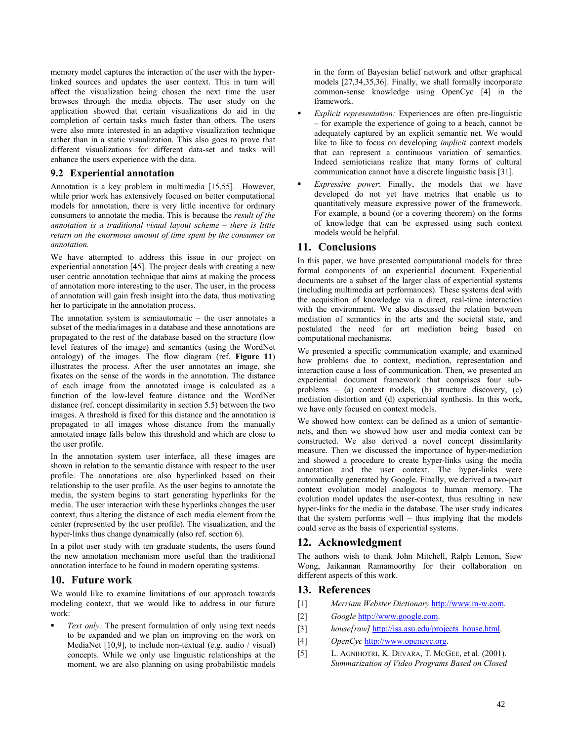memory model captures the interaction of the user with the hyperlinked sources and updates the user context. This in turn will affect the visualization being chosen the next time the user browses through the media objects. The user study on the application showed that certain visualizations do aid in the completion of certain tasks much faster than others. The users were also more interested in an adaptive visualization technique rather than in a static visualization. This also goes to prove that different visualizations for different data-set and tasks will enhance the users experience with the data.

## **9.2 Experiential annotation**

Annotation is a key problem in multimedia [15,55]. However, while prior work has extensively focused on better computational models for annotation, there is very little incentive for ordinary consumers to annotate the media. This is because the *result of the annotation is a traditional visual layout scheme – there is little return on the enormous amount of time spent by the consumer on annotation.* 

We have attempted to address this issue in our project on experiential annotation [45]. The project deals with creating a new user centric annotation technique that aims at making the process of annotation more interesting to the user. The user, in the process of annotation will gain fresh insight into the data, thus motivating her to participate in the annotation process.

The annotation system is semiautomatic – the user annotates a subset of the media/images in a database and these annotations are propagated to the rest of the database based on the structure (low level features of the image) and semantics (using the WordNet ontology) of the images. The flow diagram (ref. **Figure 11**) illustrates the process. After the user annotates an image, she fixates on the sense of the words in the annotation. The distance of each image from the annotated image is calculated as a function of the low-level feature distance and the WordNet distance (ref. concept dissimilarity in section 5.5) between the two images. A threshold is fixed for this distance and the annotation is propagated to all images whose distance from the manually annotated image falls below this threshold and which are close to the user profile.

In the annotation system user interface, all these images are shown in relation to the semantic distance with respect to the user profile. The annotations are also hyperlinked based on their relationship to the user profile. As the user begins to annotate the media, the system begins to start generating hyperlinks for the media. The user interaction with these hyperlinks changes the user context, thus altering the distance of each media element from the center (represented by the user profile). The visualization, and the hyper-links thus change dynamically (also ref. section 6).

In a pilot user study with ten graduate students, the users found the new annotation mechanism more useful than the traditional annotation interface to be found in modern operating systems.

# **10. Future work**

We would like to examine limitations of our approach towards modeling context, that we would like to address in our future work:

*Text only:* The present formulation of only using text needs to be expanded and we plan on improving on the work on MediaNet [10,9], to include non-textual (e.g. audio / visual) concepts. While we only use linguistic relationships at the moment, we are also planning on using probabilistic models

in the form of Bayesian belief network and other graphical models [27,34,35,36]. Finally, we shall formally incorporate common-sense knowledge using OpenCyc [4] in the framework.

- *Explicit representation:* Experiences are often pre-linguistic – for example the experience of going to a beach, cannot be adequately captured by an explicit semantic net. We would like to like to focus on developing *implicit* context models that can represent a continuous variation of semantics. Indeed semioticians realize that many forms of cultural communication cannot have a discrete linguistic basis [31].
- *Expressive power*: Finally, the models that we have developed do not yet have metrics that enable us to quantitatively measure expressive power of the framework. For example, a bound (or a covering theorem) on the forms of knowledge that can be expressed using such context models would be helpful.

# **11. Conclusions**

In this paper, we have presented computational models for three formal components of an experiential document. Experiential documents are a subset of the larger class of experiential systems (including multimedia art performances). These systems deal with the acquisition of knowledge via a direct, real-time interaction with the environment. We also discussed the relation between mediation of semantics in the arts and the societal state, and postulated the need for art mediation being based on computational mechanisms.

We presented a specific communication example, and examined how problems due to context, mediation, representation and interaction cause a loss of communication. Then, we presented an experiential document framework that comprises four subproblems – (a) context models, (b) structure discovery, (c) mediation distortion and (d) experiential synthesis. In this work, we have only focused on context models.

We showed how context can be defined as a union of semanticnets, and then we showed how user and media context can be constructed. We also derived a novel concept dissimilarity measure. Then we discussed the importance of hyper-mediation and showed a procedure to create hyper-links using the media annotation and the user context. The hyper-links were automatically generated by Google. Finally, we derived a two-part context evolution model analogous to human memory. The evolution model updates the user-context, thus resulting in new hyper-links for the media in the database. The user study indicates that the system performs well – thus implying that the models could serve as the basis of experiential systems.

# **12. Acknowledgment**

The authors wish to thank John Mitchell, Ralph Lemon, Siew Wong, Jaikannan Ramamoorthy for their collaboration on different aspects of this work.

# **13. References**

- [1] *Merriam Webster Dictionary* http://www.m-w.com.
- [2] *Google* http://www.google.com.
- [3] *house[raw]* http://isa.asu.edu/projects house.html.
- [4] *OpenCyc* http://www.opencyc.org.
- [5] L. AGNIHOTRI, K. DEVARA, T. MCGEE, et al. (2001). *Summarization of Video Programs Based on Closed*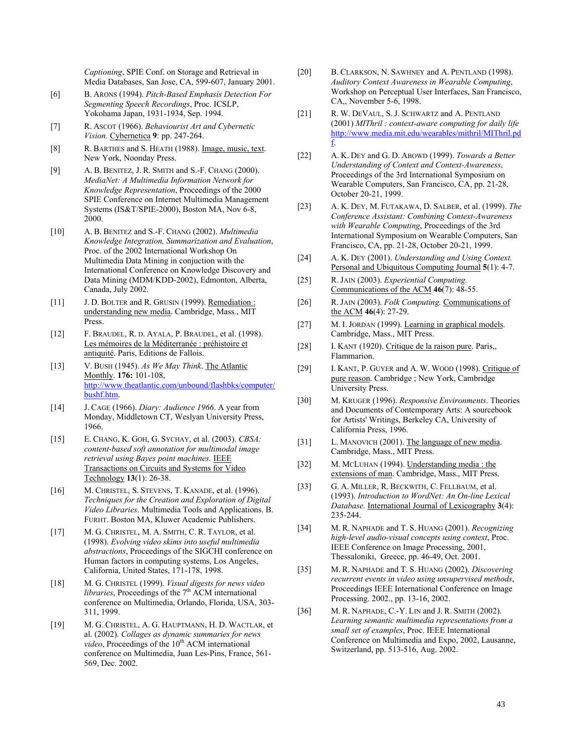*Captioning*, SPIE Conf. on Storage and Retrieval in Media Databases, San Jose, CA, 599-607, January 2001.

- [6] B. ARONS (1994). *Pitch-Based Emphasis Detection For Segmenting Speech Recordings*, Proc. ICSLP, Yokohama Japan, 1931-1934, Sep. 1994.
- [7] R. ASCOT (1966). *Behaviourist Art and Cybernetic Vision.* Cybernetica **9**: pp. 247-264.
- [8] R. BARTHES and S. HEATH (1988). Image, music, text. New York, Noonday Press.
- [9] A. B. BENITEZ, J. R. SMITH and S.-F. CHANG (2000). *MediaNet: A Multimedia Information Network for Knowledge Representation*, Proceedings of the 2000 SPIE Conference on Internet Multimedia Management Systems (IS&T/SPIE-2000), Boston MA, Nov 6-8, 2000.
- [10] A. B. BENITEZ and S.-F. CHANG (2002). *Multimedia Knowledge Integration, Summarization and Evaluation*, Proc. of the 2002 International Workshop On Multimedia Data Mining in conjuction with the International Conference on Knowledge Discovery and Data Mining (MDM/KDD-2002), Edmonton, Alberta, Canada, July 2002.
- [11] J. D. BOLTER and R. GRUSIN (1999). Remediation : understanding new media. Cambridge, Mass., MIT Press.
- [12] F. BRAUDEL, R. D. AYALA, P. BRAUDEL, et al. (1998). Les mémoires de la Méditerranée : préhistoire et antiquité. Paris, Editions de Fallois.
- [13] V. BUSH (1945). *As We May Think*. The Atlantic Monthly. **176:** 101-108, http://www.theatlantic.com/unbound/flashbks/computer/ bushf.htm.
- [14] J. CAGE (1966). *Diary: Audience 1966*. A year from Monday, Middletown CT, Weslyan University Press, 1966.
- [15] E. CHANG, K. GOH, G. SYCHAY, et al. (2003). *CBSA: content-based soft annotation for multimodal image retrieval using Bayes point machines.* IEEE Transactions on Circuits and Systems for Video Technology **13**(1): 26-38.
- [16] M. CHRISTEL, S. STEVENS, T. KANADE, et al. (1996). *Techniques for the Creation and Exploration of Digital Video Libraries*. Multimedia Tools and Applications. B. FURHT. Boston MA, Kluwer Academic Publishers.
- [17] M. G. CHRISTEL, M. A. SMITH, C. R. TAYLOR, et al. (1998). *Evolving video skims into useful multimedia abstractions*, Proceedings of the SIGCHI conference on Human factors in computing systems, Los Angeles, California, United States, 171-178, 1998.
- [18] M. G. CHRISTEL (1999). *Visual digests for news video libraries*, Proceedings of the 7<sup>th</sup> ACM international conference on Multimedia, Orlando, Florida, USA, 303- 311, 1999.
- [19] M. G. CHRISTEL, A. G. HAUPTMANN, H. D. WACTLAR, et al. (2002). *Collages as dynamic summaries for news video*, Proceedings of the 10<sup>th</sup> ACM international conference on Multimedia, Juan Les-Pins, France, 561- 569, Dec. 2002.
- [20] B. CLARKSON, N. SAWHNEY and A. PENTLAND (1998). *Auditory Context Awareness in Wearable Computing*, Workshop on Perceptual User Interfaces, San Francisco, CA,, November 5-6, 1998.
- [21] R. W. DEVAUL, S. J. SCHWARTZ and A. PENTLAND (2001) *MIThril : context-aware computing for daily life* http://www.media.mit.edu/wearables/mithril/MIThril.pd f.
- [22] A. K. DEY and G. D. ABOWD (1999). *Towards a Better Understanding of Context and Context-Awareness*, Proceedings of the 3rd International Symposium on Wearable Computers, San Francisco, CA, pp. 21-28, October 20-21, 1999.
- [23] A. K. DEY, M. FUTAKAWA, D. SALBER, et al. (1999). *The Conference Assistant: Combining Context-Awareness with Wearable Computing*, Proceedings of the 3rd International Symposium on Wearable Computers, San Francisco, CA, pp. 21-28, October 20-21, 1999.
- [24] A. K. DEY (2001). *Understanding and Using Context.* Personal and Ubiquitous Computing Journal **5**(1): 4-7.
- [25] R. JAIN (2003). *Experiential Computing.* Communications of the ACM **46**(7): 48-55.
- [26] R. JAIN (2003). *Folk Computing.* Communications of the ACM **46**(4): 27-29.
- [27] M. I. JORDAN (1999). Learning in graphical models. Cambridge, Mass., MIT Press.
- [28] I. KANT (1920). Critique de la raison pure. Paris,, Flammarion.
- [29] I. KANT, P. GUYER and A. W. WOOD (1998). Critique of pure reason. Cambridge ; New York, Cambridge University Press.
- [30] M. KRUGER (1996). *Responsive Environments*. Theories and Documents of Contemporary Arts: A sourcebook for Artists' Writings, Berkeley CA, University of California Press, 1996.
- [31] L. MANOVICH (2001). The language of new media. Cambridge, Mass., MIT Press.
- [32] M. MCLUHAN (1994). Understanding media : the extensions of man. Cambridge, Mass., MIT Press.
- [33] G. A. MILLER, R. BECKWITH, C. FELLBAUM, et al. (1993). *Introduction to WordNet: An On-line Lexical Database.* International Journal of Lexicography **3**(4): 235-244.
- [34] M. R. NAPHADE and T. S. HUANG (2001). *Recognizing high-level audio-visual concepts using context*, Proc. IEEE Conference on Image Processing, 2001, Thessaloniki, Greece, pp. 46-49, Oct. 2001.
- [35] M. R. NAPHADE and T. S. HUANG (2002). *Discovering recurrent events in video using unsupervised methods*, Proceedings IEEE International Conference on Image Processing. 2002., pp. 13-16, 2002.
- [36] M. R. NAPHADE, C.-Y. LIN and J. R. SMITH (2002). *Learning semantic multimedia representations from a small set of examples*, Proc. IEEE International Conference on Multimedia and Expo, 2002, Lausanne, Switzerland, pp. 513-516, Aug. 2002.